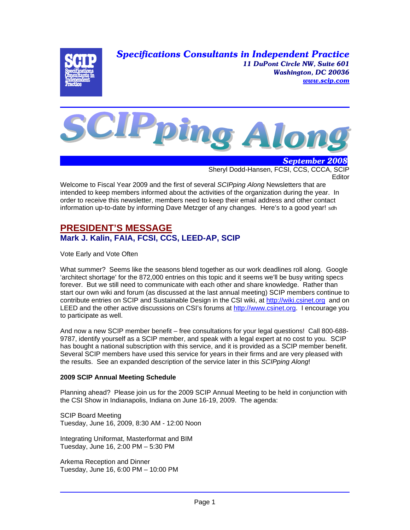*Specifications Consultants in Independent Practice 11 DuPont Circle NW, Suite 601 Washington, DC 20036 www.scip.com*





 *September 2008* Sheryl Dodd-Hansen, FCSI, CCS, CCCA, SCIP **Editor** 

Welcome to Fiscal Year 2009 and the first of several *SCIPping Along* Newsletters that are intended to keep members informed about the activities of the organization during the year. In order to receive this newsletter, members need to keep their email address and other contact information up-to-date by informing Dave Metzger of any changes. Here's to a good year! sdh

# **PRESIDENT'S MESSAGE Mark J. Kalin, FAIA, FCSI, CCS, LEED-AP, SCIP**

Vote Early and Vote Often

What summer? Seems like the seasons blend together as our work deadlines roll along. Google 'architect shortage' for the 872,000 entries on this topic and it seems we'll be busy writing specs forever. But we still need to communicate with each other and share knowledge. Rather than start our own wiki and forum (as discussed at the last annual meeting) SCIP members continue to contribute entries on SCIP and Sustainable Design in the CSI wiki, at http://wiki.csinet.org and on LEED and the other active discussions on CSI's forums at http://www.csinet.org. I encourage you to participate as well.

And now a new SCIP member benefit – free consultations for your legal questions! Call 800-688- 9787, identify yourself as a SCIP member, and speak with a legal expert at no cost to you. SCIP has bought a national subscription with this service, and it is provided as a SCIP member benefit. Several SCIP members have used this service for years in their firms and are very pleased with the results. See an expanded description of the service later in this *SCIPping Along*!

## **2009 SCIP Annual Meeting Schedule**

Planning ahead? Please join us for the 2009 SCIP Annual Meeting to be held in conjunction with the CSI Show in Indianapolis, Indiana on June 16-19, 2009. The agenda:

SCIP Board Meeting Tuesday, June 16, 2009, 8:30 AM - 12:00 Noon

Integrating Uniformat, Masterformat and BIM Tuesday, June 16, 2:00 PM – 5:30 PM

Arkema Reception and Dinner Tuesday, June 16, 6:00 PM – 10:00 PM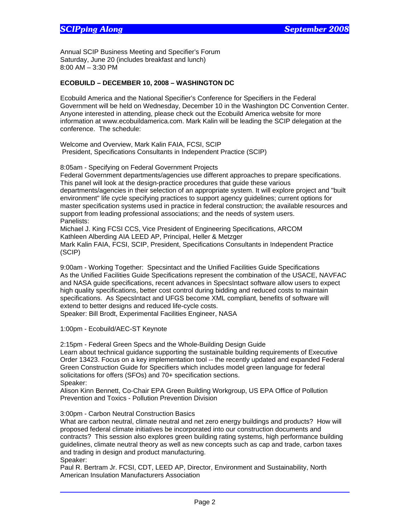Annual SCIP Business Meeting and Specifier's Forum Saturday, June 20 (includes breakfast and lunch) 8:00 AM – 3:30 PM

### **ECOBUILD – DECEMBER 10, 2008 – WASHINGTON DC**

Ecobuild America and the National Specifier's Conference for Specifiers in the Federal Government will be held on Wednesday, December 10 in the Washington DC Convention Center. Anyone interested in attending, please check out the Ecobuild America website for more information at www.ecobuildamerica.com. Mark Kalin will be leading the SCIP delegation at the conference. The schedule:

Welcome and Overview, Mark Kalin FAIA, FCSI, SCIP President, Specifications Consultants in Independent Practice (SCIP)

8:05am - Specifying on Federal Government Projects

Federal Government departments/agencies use different approaches to prepare specifications. This panel will look at the design-practice procedures that guide these various

departments/agencies in their selection of an appropriate system. It will explore project and "built environment" life cycle specifying practices to support agency guidelines; current options for master specification systems used in practice in federal construction; the available resources and support from leading professional associations; and the needs of system users. Panelists:

Michael J. King FCSI CCS, Vice President of Engineering Specifications, ARCOM Kathleen Alberding AIA LEED AP, Principal, Heller & Metzger Mark Kalin FAIA, FCSI, SCIP, President, Specifications Consultants in Independent Practice (SCIP)

9:00am - Working Together: Specsintact and the Unified Facilities Guide Specifications As the Unified Facilities Guide Specifications represent the combination of the USACE, NAVFAC and NASA guide specifications, recent advances in SpecsIntact software allow users to expect high quality specifications, better cost control during bidding and reduced costs to maintain specifications. As SpecsIntact and UFGS become XML compliant, benefits of software will extend to better designs and reduced life-cycle costs.

Speaker: Bill Brodt, Experimental Facilities Engineer, NASA

1:00pm - Ecobuild/AEC-ST Keynote

2:15pm - Federal Green Specs and the Whole-Building Design Guide

Learn about technical guidance supporting the sustainable building requirements of Executive Order 13423. Focus on a key implementation tool -- the recently updated and expanded Federal Green Construction Guide for Specifiers which includes model green language for federal solicitations for offers (SFOs) and 70+ specification sections.

Speaker:

Alison Kinn Bennett, Co-Chair EPA Green Building Workgroup, US EPA Office of Pollution Prevention and Toxics - Pollution Prevention Division

3:00pm - Carbon Neutral Construction Basics

What are carbon neutral, climate neutral and net zero energy buildings and products? How will proposed federal climate initiatives be incorporated into our construction documents and contracts? This session also explores green building rating systems, high performance building guidelines, climate neutral theory as well as new concepts such as cap and trade, carbon taxes and trading in design and product manufacturing. Speaker:

Paul R. Bertram Jr. FCSI, CDT, LEED AP, Director, Environment and Sustainability, North American Insulation Manufacturers Association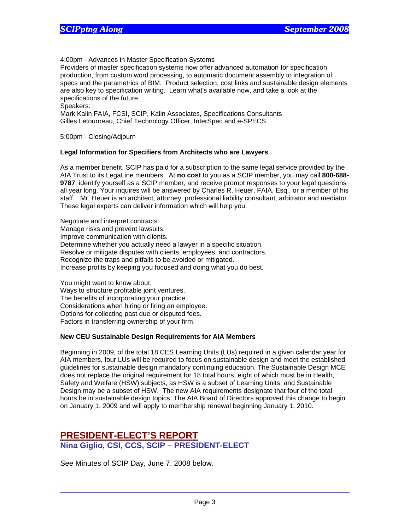4:00pm - Advances in Master Specification Systems

Providers of master specification systems now offer advanced automation for specification production, from custom word processing, to automatic document assembly to integration of specs and the parametrics of BIM. Product selection, cost links and sustainable design elements are also key to specification writing. Learn what's available now, and take a look at the specifications of the future.

Speakers:

Mark Kalin FAIA, FCSI, SCIP, Kalin Associates, Specifications Consultants Gilles Letourneau, Chief Technology Officer, InterSpec and e-SPECS

5:00pm - Closing/Adjourn

### **Legal Information for Specifiers from Architects who are Lawyers**

As a member benefit, SCIP has paid for a subscription to the same legal service provided by the AIA Trust to its LegaLine members. At **no cost** to you as a SCIP member, you may call **800-688- 9787**, identify yourself as a SCIP member, and receive prompt responses to your legal questions all year long. Your inquires will be answered by Charles R. Heuer, FAIA, Esq., or a member of his staff. Mr. Heuer is an architect, attorney, professional liability consultant, arbitrator and mediator. These legal experts can deliver information which will help you:

Negotiate and interpret contracts. Manage risks and prevent lawsuits. Improve communication with clients. Determine whether you actually need a lawyer in a specific situation. Resolve or mitigate disputes with clients, employees, and contractors. Recognize the traps and pitfalls to be avoided or mitigated. Increase profits by keeping you focused and doing what you do best.

You might want to know about: Ways to structure profitable joint ventures. The benefits of incorporating your practice. Considerations when hiring or firing an employee. Options for collecting past due or disputed fees. Factors in transferring ownership of your firm.

#### **New CEU Sustainable Design Requirements for AIA Members**

Beginning in 2009, of the total 18 CES Learning Units (LUs) required in a given calendar year for AIA members, four LUs will be required to focus on sustainable design and meet the established guidelines for sustainable design mandatory continuing education. The Sustainable Design MCE does not replace the original requirement for 18 total hours, eight of which must be in Health, Safety and Welfare (HSW) subjects, as HSW is a subset of Learning Units, and Sustainable Design may be a subset of HSW. The new AIA requirements designate that four of the total hours be in sustainable design topics. The AIA Board of Directors approved this change to begin on January 1, 2009 and will apply to membership renewal beginning January 1, 2010.

# **PRESIDENT-ELECT'S REPORT Nina Giglio, CSI, CCS, SCIP – PRESIDENT-ELECT**

See Minutes of SCIP Day, June 7, 2008 below.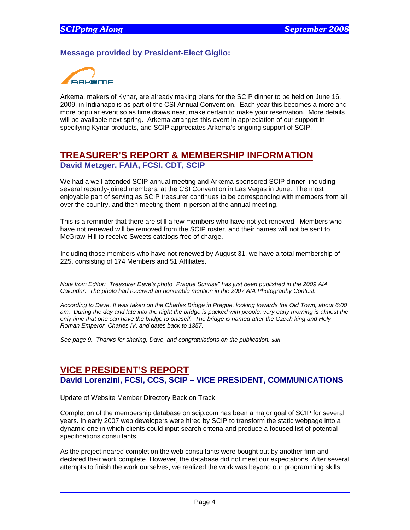## **Message provided by President-Elect Giglio:**



Arkema, makers of Kynar, are already making plans for the SCIP dinner to be held on June 16, 2009, in Indianapolis as part of the CSI Annual Convention. Each year this becomes a more and more popular event so as time draws near, make certain to make your reservation. More details will be available next spring. Arkema arranges this event in appreciation of our support in specifying Kynar products, and SCIP appreciates Arkema's ongoing support of SCIP.

# **TREASURER'S REPORT & MEMBERSHIP INFORMATION David Metzger, FAIA, FCSI, CDT, SCIP**

We had a well-attended SCIP annual meeting and Arkema-sponsored SCIP dinner, including several recently-joined members, at the CSI Convention in Las Vegas in June. The most enjoyable part of serving as SCIP treasurer continues to be corresponding with members from all over the country, and then meeting them in person at the annual meeting.

This is a reminder that there are still a few members who have not yet renewed. Members who have not renewed will be removed from the SCIP roster, and their names will not be sent to McGraw-Hill to receive Sweets catalogs free of charge.

Including those members who have not renewed by August 31, we have a total membership of 225, consisting of 174 Members and 51 Affiliates.

*Note from Editor: Treasurer Dave's photo "Prague Sunrise" has just been published in the 2009 AIA Calendar. The photo had received an honorable mention in the 2007 AIA Photography Contest.* 

*According to Dave, It was taken on the Charles Bridge in Prague, looking towards the Old Town, about 6:00 am. During the day and late into the night the bridge is packed with people; very early morning is almost the only time that one can have the bridge to oneself. The bridge is named after the Czech king and Holy Roman Emperor, Charles IV, and dates back to 1357.* 

*See page 9. Thanks for sharing, Dave, and congratulations on the publication. sdh*

# **VICE PRESIDENT'S REPORT David Lorenzini, FCSI, CCS, SCIP – VICE PRESIDENT, COMMUNICATIONS**

Update of Website Member Directory Back on Track

Completion of the membership database on scip.com has been a major goal of SCIP for several years. In early 2007 web developers were hired by SCIP to transform the static webpage into a dynamic one in which clients could input search criteria and produce a focused list of potential specifications consultants.

As the project neared completion the web consultants were bought out by another firm and declared their work complete. However, the database did not meet our expectations. After several attempts to finish the work ourselves, we realized the work was beyond our programming skills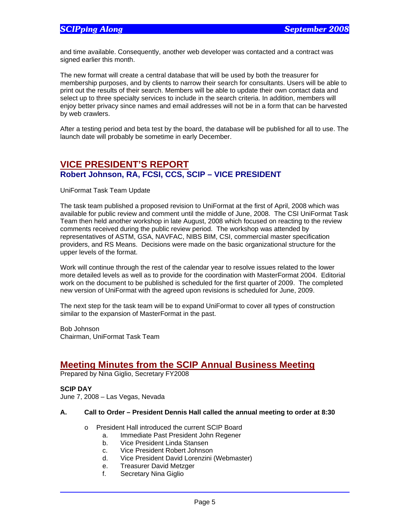and time available. Consequently, another web developer was contacted and a contract was signed earlier this month.

The new format will create a central database that will be used by both the treasurer for membership purposes, and by clients to narrow their search for consultants. Users will be able to print out the results of their search. Members will be able to update their own contact data and select up to three specialty services to include in the search criteria. In addition, members will enjoy better privacy since names and email addresses will not be in a form that can be harvested by web crawlers.

After a testing period and beta test by the board, the database will be published for all to use. The launch date will probably be sometime in early December.

## **VICE PRESIDENT'S REPORT Robert Johnson, RA, FCSI, CCS, SCIP – VICE PRESIDENT**

UniFormat Task Team Update

The task team published a proposed revision to UniFormat at the first of April, 2008 which was available for public review and comment until the middle of June, 2008. The CSI UniFormat Task Team then held another workshop in late August, 2008 which focused on reacting to the review comments received during the public review period. The workshop was attended by representatives of ASTM, GSA, NAVFAC, NIBS BIM, CSI, commercial master specification providers, and RS Means. Decisions were made on the basic organizational structure for the upper levels of the format.

Work will continue through the rest of the calendar year to resolve issues related to the lower more detailed levels as well as to provide for the coordination with MasterFormat 2004. Editorial work on the document to be published is scheduled for the first quarter of 2009. The completed new version of UniFormat with the agreed upon revisions is scheduled for June, 2009.

The next step for the task team will be to expand UniFormat to cover all types of construction similar to the expansion of MasterFormat in the past.

Bob Johnson Chairman, UniFormat Task Team

# **Meeting Minutes from the SCIP Annual Business Meeting**

Prepared by Nina Giglio, Secretary FY2008

**SCIP DAY** 

June 7, 2008 – Las Vegas, Nevada

#### **A. Call to Order – President Dennis Hall called the annual meeting to order at 8:30**

- o President Hall introduced the current SCIP Board
	- a. Immediate Past President John Regener
	- b. Vice President Linda Stansen
	- c. Vice President Robert Johnson
	- d. Vice President David Lorenzini (Webmaster)
	- e. Treasurer David Metzger
	- f. Secretary Nina Giglio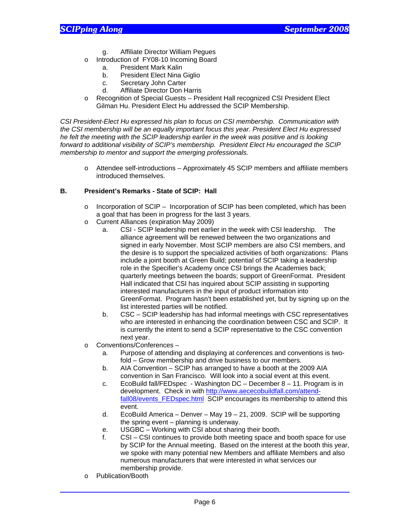- g. Affiliate Director William Pegues
- o Introduction of FY08-10 Incoming Board
	- a. President Mark Kalin
	- b. President Elect Nina Giglio
	- c. Secretary John Carter
	- d. Affiliate Director Don Harris
- o Recognition of Special Guests President Hall recognized CSI President Elect Gilman Hu. President Elect Hu addressed the SCIP Membership.

*CSI President-Elect Hu expressed his plan to focus on CSI membership. Communication with the CSI membership will be an equally important focus this year. President Elect Hu expressed he felt the meeting with the SCIP leadership earlier in the week was positive and is looking forward to additional visibility of SCIP's membership. President Elect Hu encouraged the SCIP membership to mentor and support the emerging professionals.* 

o Attendee self-introductions – Approximately 45 SCIP members and affiliate members introduced themselves.

### **B. President's Remarks - State of SCIP: Hall**

- o Incorporation of SCIP Incorporation of SCIP has been completed, which has been a goal that has been in progress for the last 3 years.
- o Current Alliances (expiration May 2009)
	- a. CSI SCIP leadership met earlier in the week with CSI leadership. The alliance agreement will be renewed between the two organizations and signed in early November. Most SCIP members are also CSI members, and the desire is to support the specialized activities of both organizations: Plans include a joint booth at Green Build; potential of SCIP taking a leadership role in the Specifier's Academy once CSI brings the Academies back; quarterly meetings between the boards; support of GreenFormat. President Hall indicated that CSI has inquired about SCIP assisting in supporting interested manufacturers in the input of product information into GreenFormat. Program hasn't been established yet, but by signing up on the list interested parties will be notified.
	- b. CSC SCIP leadership has had informal meetings with CSC representatives who are interested in enhancing the coordination between CSC and SCIP. It is currently the intent to send a SCIP representative to the CSC convention next year.
- o Conventions/Conferences
	- a. Purpose of attending and displaying at conferences and conventions is twofold – Grow membership and drive business to our members.
	- b. AIA Convention SCIP has arranged to have a booth at the 2009 AIA convention in San Francisco. Will look into a social event at this event.
	- c. EcoBuild fall/FEDspec Washington DC December 8 11. Program is in development. Check in with http://www.aececobuildfall.com/attendfall08/events\_FEDspec.html SCIP encourages its membership to attend this event.
	- d. EcoBuild America Denver May 19 21, 2009. SCIP will be supporting the spring event – planning is underway.
	- e. USGBC Working with CSI about sharing their booth.
	- f. CSI CSI continues to provide both meeting space and booth space for use by SCIP for the Annual meeting. Based on the interest at the booth this year, we spoke with many potential new Members and affiliate Members and also numerous manufacturers that were interested in what services our membership provide.
- o Publication/Booth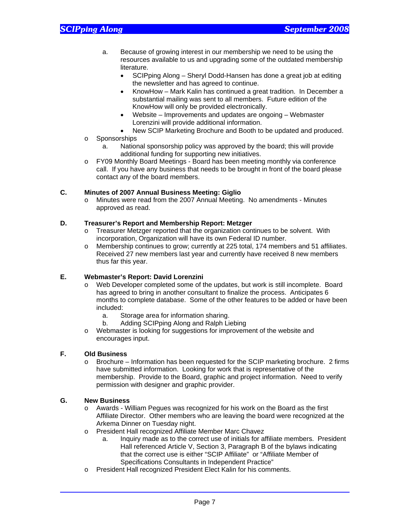- a. Because of growing interest in our membership we need to be using the resources available to us and upgrading some of the outdated membership literature.
	- SCIPping Along Sheryl Dodd-Hansen has done a great job at editing the newsletter and has agreed to continue.
	- KnowHow Mark Kalin has continued a great tradition. In December a substantial mailing was sent to all members. Future edition of the KnowHow will only be provided electronically.
	- Website Improvements and updates are ongoing Webmaster Lorenzini will provide additional information.
- New SCIP Marketing Brochure and Booth to be updated and produced.
- o Sponsorships
	- a. National sponsorship policy was approved by the board; this will provide additional funding for supporting new initiatives.
- o FY09 Monthly Board Meetings Board has been meeting monthly via conference call. If you have any business that needs to be brought in front of the board please contact any of the board members.

### **C. Minutes of 2007 Annual Business Meeting: Giglio**

o Minutes were read from the 2007 Annual Meeting. No amendments - Minutes approved as read.

### **D. Treasurer's Report and Membership Report: Metzger**

- o Treasurer Metzger reported that the organization continues to be solvent. With incorporation, Organization will have its own Federal ID number.
- o Membership continues to grow; currently at 225 total, 174 members and 51 affiliates. Received 27 new members last year and currently have received 8 new members thus far this year.

### **E. Webmaster's Report: David Lorenzini**

- o Web Developer completed some of the updates, but work is still incomplete. Board has agreed to bring in another consultant to finalize the process. Anticipates 6 months to complete database. Some of the other features to be added or have been included:
	- a. Storage area for information sharing.
	- b. Adding SCIPping Along and Ralph Liebing
- o Webmaster is looking for suggestions for improvement of the website and encourages input.

### **F. Old Business**

 $\circ$  Brochure – Information has been requested for the SCIP marketing brochure. 2 firms have submitted information. Looking for work that is representative of the membership. Provide to the Board, graphic and project information. Need to verify permission with designer and graphic provider.

#### **G. New Business**

- o Awards William Pegues was recognized for his work on the Board as the first Affiliate Director. Other members who are leaving the board were recognized at the Arkema Dinner on Tuesday night.
- o President Hall recognized Affiliate Member Marc Chavez
	- a. Inquiry made as to the correct use of initials for affiliate members. President Hall referenced Article V, Section 3, Paragraph B of the bylaws indicating that the correct use is either "SCIP Affiliate" or "Affiliate Member of Specifications Consultants in Independent Practice"
- o President Hall recognized President Elect Kalin for his comments.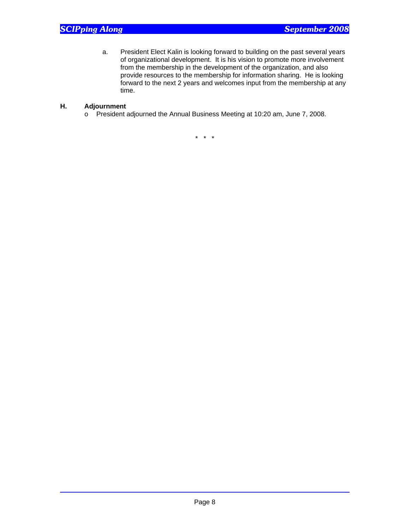a. President Elect Kalin is looking forward to building on the past several years of organizational development. It is his vision to promote more involvement from the membership in the development of the organization, and also provide resources to the membership for information sharing. He is looking forward to the next 2 years and welcomes input from the membership at any time.

### **H. Adjournment**

o President adjourned the Annual Business Meeting at 10:20 am, June 7, 2008.

\* \* \*